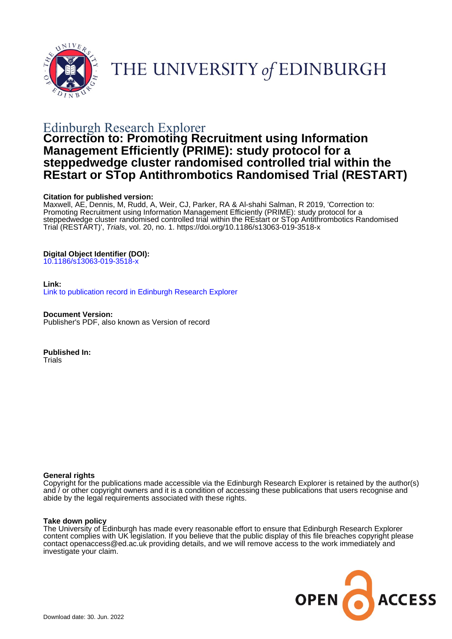

# THE UNIVERSITY of EDINBURGH

## Edinburgh Research Explorer

## **Correction to: Promoting Recruitment using Information Management Efficiently (PRIME): study protocol for a steppedwedge cluster randomised controlled trial within the REstart or STop Antithrombotics Randomised Trial (RESTART)**

## **Citation for published version:**

Maxwell, AE, Dennis, M, Rudd, A, Weir, CJ, Parker, RA & Al-shahi Salman, R 2019, 'Correction to: Promoting Recruitment using Information Management Efficiently (PRIME): study protocol for a steppedwedge cluster randomised controlled trial within the REstart or STop Antithrombotics Randomised Trial (RESTART)', Trials, vol. 20, no. 1. <https://doi.org/10.1186/s13063-019-3518-x>

## **Digital Object Identifier (DOI):**

[10.1186/s13063-019-3518-x](https://doi.org/10.1186/s13063-019-3518-x)

### **Link:**

[Link to publication record in Edinburgh Research Explorer](https://www.research.ed.ac.uk/en/publications/5eb20b89-2fe8-473c-adf6-659f25d8c3b9)

**Document Version:** Publisher's PDF, also known as Version of record

**Published In: Trials** 

### **General rights**

Copyright for the publications made accessible via the Edinburgh Research Explorer is retained by the author(s) and / or other copyright owners and it is a condition of accessing these publications that users recognise and abide by the legal requirements associated with these rights.

### **Take down policy**

The University of Edinburgh has made every reasonable effort to ensure that Edinburgh Research Explorer content complies with UK legislation. If you believe that the public display of this file breaches copyright please contact openaccess@ed.ac.uk providing details, and we will remove access to the work immediately and investigate your claim.